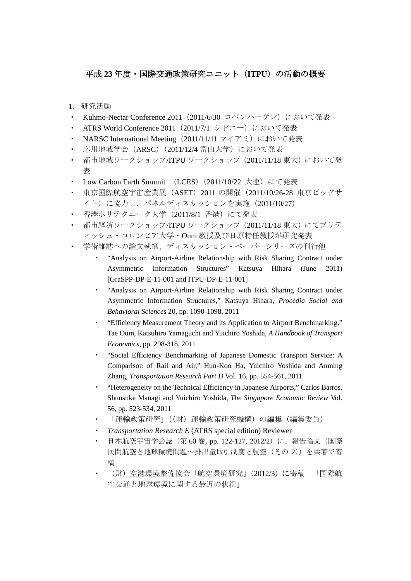## 平成 **23** 年度・国際交通政策研究ユニット(**ITPU**)の活動の概要

1. 研究活動

- Kuhmo-Nectar Conference 2011 (2011/6/30 コペンハーゲン)において発表
- ATRS World Conference 2011 (2011/7/1 シドニー)において発表
- NARSC International Meeting (2011/11/11 マイアミ) において発表
- ・ 応用地域学会(ARSC)(2011/12/4 富山大学)において発表
- ・ 都市地域ワークショップ/ITPU ワークショップ(2011/11/18 東大)において発 表
- Low Carbon Earth Summit (LCES) (2011/10/22 大連)にて発表
- 東京国際航空宇宙産業展 (ASET) 2011 の開催 (2011/10/26-28 東京ビッグサ イト)に協力し、パネルディスカッションを実施(2011/10/27)
- ・ 香港ポリテクニーク大学(2011/8/1 香港)にて発表
- ・ 都市経済ワークショップ/ITPU ワークショップ(2011/11/18 東大)にてブリテ ィッシュ・コロンビア大学・Oum 教授及び日原特任教授が研究発表
- 学術雑誌への論文執筆、ディスカッション・ペーパーシリーズの刊行他
	- ・ "Analysis on Airport-Airline Relationship with Risk Sharing Contract under Asymmetric Information Structures" Katsuya Hihara (June 2011) [GraSPP-DP-E-11-001 and ITPU-DP-E-11-001]
	- "Analysis on Airport-Airline Relationship with Risk Sharing Contract under Asymmetric Information Structures," Katsuya Hihara, *Procedia Social and Behavioral Science*s 20, pp. 1090-1098, 2011
	- ・ "Efficiency Measurement Theory and its Application to Airport Benchmarking," Tae Oum, Katsuhiro Yamaguchi and Yuichiro Yoshida, *A Handbook of Transport Economics*, pp. 298-318, 2011
	- ・ "Social Efficiency Benchmarking of Japanese Domestic Transport Service: A Comparison of Rail and Air," Hun-Koo Ha, Yuichiro Yoshida and Anming Zhang, *Transportation Research Part D* Vol. 16, pp. 554-561, 2011
	- ・ "Heterogeneity on the Technical Efficiency in Japanese Airports," Carlos Barros, Shunsuke Managi and Yuichiro Yoshida, *The Singapore Economic Review* Vol. 56, pp. 523-534, 2011
	- ・ 「運輸政策研究」((財)運輸政策研究機構)の編集(編集委員)
	- *Transportation Research E* (ATRS special edition) Reviewer
	- 日本航空宇宙学会誌 (第 60 巻, pp. 122-127, 2012/2) に、報告論文 (国際 民間航空と地球環境問題~排出量取引制度と航空(その 2))を共著で寄 稿
	- ・ (財)空港環境整備協会「航空環境研究」(2012/3)に寄稿 「国際航 空交通と地球環境に関する最近の状況」